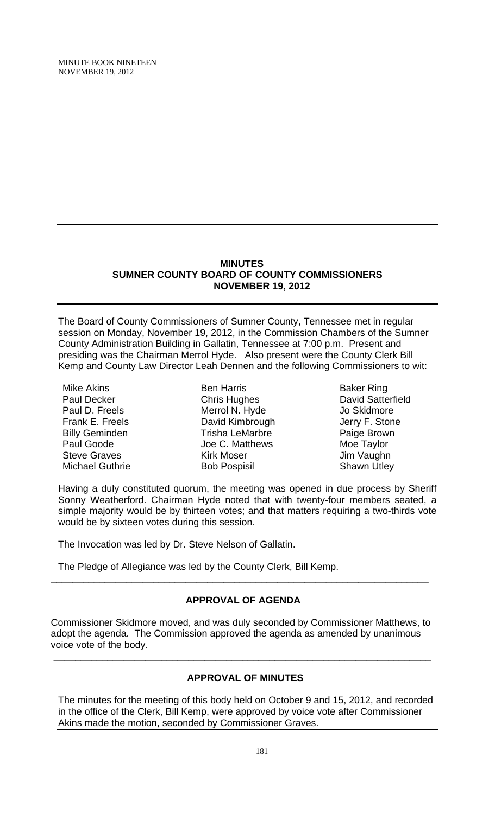MINUTE BOOK NINETEEN NOVEMBER 19, 2012

#### **MINUTES SUMNER COUNTY BOARD OF COUNTY COMMISSIONERS NOVEMBER 19, 2012**

The Board of County Commissioners of Sumner County, Tennessee met in regular session on Monday, November 19, 2012, in the Commission Chambers of the Sumner County Administration Building in Gallatin, Tennessee at 7:00 p.m. Present and presiding was the Chairman Merrol Hyde. Also present were the County Clerk Bill Kemp and County Law Director Leah Dennen and the following Commissioners to wit:

Mike Akins Paul Decker Paul D. Freels Frank E. Freels Billy Geminden Paul Goode Steve Graves Michael Guthrie

Ben Harris Chris Hughes Merrol N. Hyde David Kimbrough Trisha LeMarbre Joe C. Matthews Kirk Moser Bob Pospisil

Baker Ring David Satterfield Jo Skidmore Jerry F. Stone Paige Brown Moe Taylor Jim Vaughn Shawn Utley

Having a duly constituted quorum, the meeting was opened in due process by Sheriff Sonny Weatherford. Chairman Hyde noted that with twenty-four members seated, a simple majority would be by thirteen votes; and that matters requiring a two-thirds vote would be by sixteen votes during this session.

The Invocation was led by Dr. Steve Nelson of Gallatin.

The Pledge of Allegiance was led by the County Clerk, Bill Kemp.

## **APPROVAL OF AGENDA**

\_\_\_\_\_\_\_\_\_\_\_\_\_\_\_\_\_\_\_\_\_\_\_\_\_\_\_\_\_\_\_\_\_\_\_\_\_\_\_\_\_\_\_\_\_\_\_\_\_\_\_\_\_\_\_\_\_\_\_\_\_\_\_\_\_\_\_\_\_\_

Commissioner Skidmore moved, and was duly seconded by Commissioner Matthews, to adopt the agenda. The Commission approved the agenda as amended by unanimous voice vote of the body.

\_\_\_\_\_\_\_\_\_\_\_\_\_\_\_\_\_\_\_\_\_\_\_\_\_\_\_\_\_\_\_\_\_\_\_\_\_\_\_\_\_\_\_\_\_\_\_\_\_\_\_\_\_\_\_\_\_\_\_\_\_\_\_\_\_\_\_\_\_\_

# **APPROVAL OF MINUTES**

The minutes for the meeting of this body held on October 9 and 15, 2012, and recorded in the office of the Clerk, Bill Kemp, were approved by voice vote after Commissioner Akins made the motion, seconded by Commissioner Graves.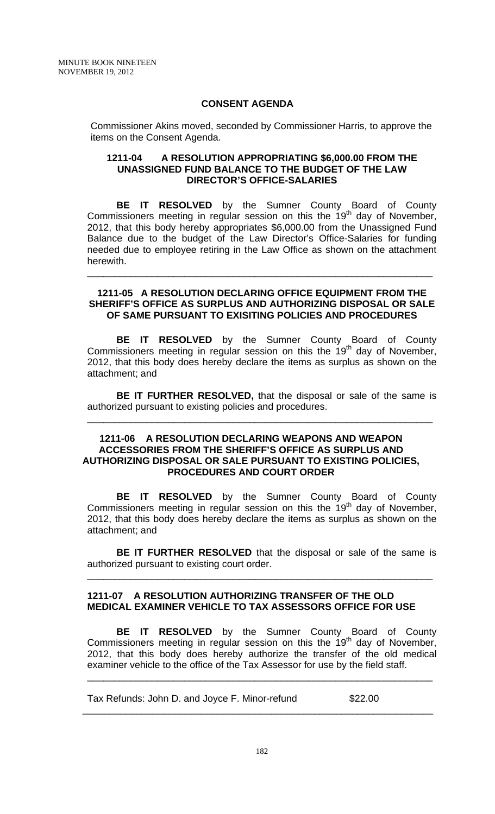## **CONSENT AGENDA**

 Commissioner Akins moved, seconded by Commissioner Harris, to approve the items on the Consent Agenda.

#### **1211-04 A RESOLUTION APPROPRIATING \$6,000.00 FROM THE UNASSIGNED FUND BALANCE TO THE BUDGET OF THE LAW DIRECTOR'S OFFICE-SALARIES**

**BE IT RESOLVED** by the Sumner County Board of County Commissioners meeting in regular session on this the  $19<sup>th</sup>$  day of November, 2012, that this body hereby appropriates \$6,000.00 from the Unassigned Fund Balance due to the budget of the Law Director's Office-Salaries for funding needed due to employee retiring in the Law Office as shown on the attachment herewith.

#### **1211-05 A RESOLUTION DECLARING OFFICE EQUIPMENT FROM THE SHERIFF'S OFFICE AS SURPLUS AND AUTHORIZING DISPOSAL OR SALE OF SAME PURSUANT TO EXISITING POLICIES AND PROCEDURES**

\_\_\_\_\_\_\_\_\_\_\_\_\_\_\_\_\_\_\_\_\_\_\_\_\_\_\_\_\_\_\_\_\_\_\_\_\_\_\_\_\_\_\_\_\_\_\_\_\_\_\_\_\_\_\_\_\_\_\_\_\_\_\_\_

 **BE IT RESOLVED** by the Sumner County Board of County Commissioners meeting in regular session on this the 19<sup>th</sup> day of November, 2012, that this body does hereby declare the items as surplus as shown on the attachment; and

**BE IT FURTHER RESOLVED,** that the disposal or sale of the same is authorized pursuant to existing policies and procedures.

\_\_\_\_\_\_\_\_\_\_\_\_\_\_\_\_\_\_\_\_\_\_\_\_\_\_\_\_\_\_\_\_\_\_\_\_\_\_\_\_\_\_\_\_\_\_\_\_\_\_\_\_\_\_\_\_\_\_\_\_\_\_\_\_

## **1211-06 A RESOLUTION DECLARING WEAPONS AND WEAPON ACCESSORIES FROM THE SHERIFF'S OFFICE AS SURPLUS AND AUTHORIZING DISPOSAL OR SALE PURSUANT TO EXISTING POLICIES, PROCEDURES AND COURT ORDER**

**BE IT RESOLVED** by the Sumner County Board of County Commissioners meeting in regular session on this the  $19<sup>th</sup>$  day of November, 2012, that this body does hereby declare the items as surplus as shown on the attachment; and

**BE IT FURTHER RESOLVED** that the disposal or sale of the same is authorized pursuant to existing court order.

\_\_\_\_\_\_\_\_\_\_\_\_\_\_\_\_\_\_\_\_\_\_\_\_\_\_\_\_\_\_\_\_\_\_\_\_\_\_\_\_\_\_\_\_\_\_\_\_\_\_\_\_\_\_\_\_\_\_\_\_\_\_\_\_

## **1211-07 A RESOLUTION AUTHORIZING TRANSFER OF THE OLD MEDICAL EXAMINER VEHICLE TO TAX ASSESSORS OFFICE FOR USE**

**BE IT RESOLVED** by the Sumner County Board of County Commissioners meeting in regular session on this the  $19<sup>th</sup>$  day of November, 2012, that this body does hereby authorize the transfer of the old medical examiner vehicle to the office of the Tax Assessor for use by the field staff.

\_\_\_\_\_\_\_\_\_\_\_\_\_\_\_\_\_\_\_\_\_\_\_\_\_\_\_\_\_\_\_\_\_\_\_\_\_\_\_\_\_\_\_\_\_\_\_\_\_\_\_\_\_\_\_\_\_\_\_\_\_\_\_\_

 $\frac{1}{\sqrt{2}}$  ,  $\frac{1}{\sqrt{2}}$  ,  $\frac{1}{\sqrt{2}}$  ,  $\frac{1}{\sqrt{2}}$  ,  $\frac{1}{\sqrt{2}}$  ,  $\frac{1}{\sqrt{2}}$  ,  $\frac{1}{\sqrt{2}}$  ,  $\frac{1}{\sqrt{2}}$  ,  $\frac{1}{\sqrt{2}}$  ,  $\frac{1}{\sqrt{2}}$  ,  $\frac{1}{\sqrt{2}}$  ,  $\frac{1}{\sqrt{2}}$  ,  $\frac{1}{\sqrt{2}}$  ,  $\frac{1}{\sqrt{2}}$  ,  $\frac{1}{\sqrt{2}}$ 

Tax Refunds: John D. and Joyce F. Minor-refund \$22.00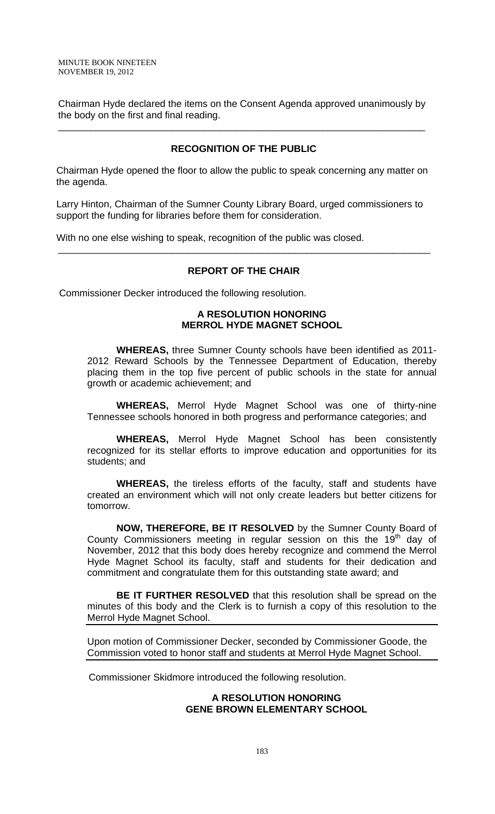Chairman Hyde declared the items on the Consent Agenda approved unanimously by the body on the first and final reading.

\_\_\_\_\_\_\_\_\_\_\_\_\_\_\_\_\_\_\_\_\_\_\_\_\_\_\_\_\_\_\_\_\_\_\_\_\_\_\_\_\_\_\_\_\_\_\_\_\_\_\_\_\_\_\_\_\_\_\_\_\_\_\_\_\_\_\_\_

## **RECOGNITION OF THE PUBLIC**

 Chairman Hyde opened the floor to allow the public to speak concerning any matter on the agenda.

 Larry Hinton, Chairman of the Sumner County Library Board, urged commissioners to support the funding for libraries before them for consideration.

With no one else wishing to speak, recognition of the public was closed.

## **REPORT OF THE CHAIR**

\_\_\_\_\_\_\_\_\_\_\_\_\_\_\_\_\_\_\_\_\_\_\_\_\_\_\_\_\_\_\_\_\_\_\_\_\_\_\_\_\_\_\_\_\_\_\_\_\_\_\_\_\_\_\_\_\_\_\_\_\_\_\_\_\_\_\_\_\_

Commissioner Decker introduced the following resolution.

## **A RESOLUTION HONORING MERROL HYDE MAGNET SCHOOL**

 **WHEREAS,** three Sumner County schools have been identified as 2011- 2012 Reward Schools by the Tennessee Department of Education, thereby placing them in the top five percent of public schools in the state for annual growth or academic achievement; and

**WHEREAS,** Merrol Hyde Magnet School was one of thirty-nine Tennessee schools honored in both progress and performance categories; and

**WHEREAS,** Merrol Hyde Magnet School has been consistently recognized for its stellar efforts to improve education and opportunities for its students; and

**WHEREAS,** the tireless efforts of the faculty, staff and students have created an environment which will not only create leaders but better citizens for tomorrow.

**NOW, THEREFORE, BE IT RESOLVED** by the Sumner County Board of County Commissioners meeting in regular session on this the  $19<sup>th</sup>$  day of November, 2012 that this body does hereby recognize and commend the Merrol Hyde Magnet School its faculty, staff and students for their dedication and commitment and congratulate them for this outstanding state award; and

**BE IT FURTHER RESOLVED** that this resolution shall be spread on the minutes of this body and the Clerk is to furnish a copy of this resolution to the Merrol Hyde Magnet School.

Upon motion of Commissioner Decker, seconded by Commissioner Goode, the Commission voted to honor staff and students at Merrol Hyde Magnet School.

Commissioner Skidmore introduced the following resolution.

## **A RESOLUTION HONORING GENE BROWN ELEMENTARY SCHOOL**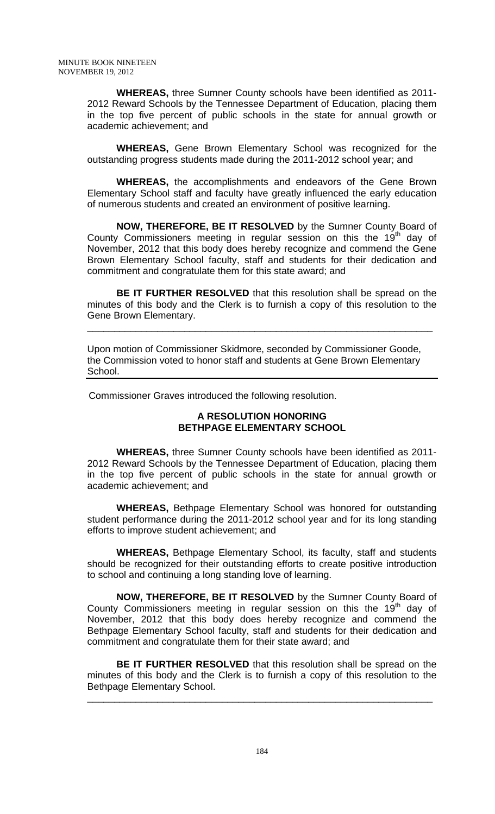**WHEREAS,** three Sumner County schools have been identified as 2011- 2012 Reward Schools by the Tennessee Department of Education, placing them in the top five percent of public schools in the state for annual growth or academic achievement; and

**WHEREAS,** Gene Brown Elementary School was recognized for the outstanding progress students made during the 2011-2012 school year; and

**WHEREAS,** the accomplishments and endeavors of the Gene Brown Elementary School staff and faculty have greatly influenced the early education of numerous students and created an environment of positive learning.

**NOW, THEREFORE, BE IT RESOLVED** by the Sumner County Board of County Commissioners meeting in regular session on this the  $19<sup>th</sup>$  day of November, 2012 that this body does hereby recognize and commend the Gene Brown Elementary School faculty, staff and students for their dedication and commitment and congratulate them for this state award; and

**BE IT FURTHER RESOLVED** that this resolution shall be spread on the minutes of this body and the Clerk is to furnish a copy of this resolution to the Gene Brown Elementary.

\_\_\_\_\_\_\_\_\_\_\_\_\_\_\_\_\_\_\_\_\_\_\_\_\_\_\_\_\_\_\_\_\_\_\_\_\_\_\_\_\_\_\_\_\_\_\_\_\_\_\_\_\_\_\_\_\_\_\_\_\_\_\_\_

Upon motion of Commissioner Skidmore, seconded by Commissioner Goode, the Commission voted to honor staff and students at Gene Brown Elementary School.

Commissioner Graves introduced the following resolution.

## **A RESOLUTION HONORING BETHPAGE ELEMENTARY SCHOOL**

 **WHEREAS,** three Sumner County schools have been identified as 2011- 2012 Reward Schools by the Tennessee Department of Education, placing them in the top five percent of public schools in the state for annual growth or academic achievement; and

**WHEREAS,** Bethpage Elementary School was honored for outstanding student performance during the 2011-2012 school year and for its long standing efforts to improve student achievement; and

**WHEREAS,** Bethpage Elementary School, its faculty, staff and students should be recognized for their outstanding efforts to create positive introduction to school and continuing a long standing love of learning.

**NOW, THEREFORE, BE IT RESOLVED** by the Sumner County Board of County Commissioners meeting in regular session on this the  $19<sup>th</sup>$  day of November, 2012 that this body does hereby recognize and commend the Bethpage Elementary School faculty, staff and students for their dedication and commitment and congratulate them for their state award; and

**BE IT FURTHER RESOLVED** that this resolution shall be spread on the minutes of this body and the Clerk is to furnish a copy of this resolution to the Bethpage Elementary School.

\_\_\_\_\_\_\_\_\_\_\_\_\_\_\_\_\_\_\_\_\_\_\_\_\_\_\_\_\_\_\_\_\_\_\_\_\_\_\_\_\_\_\_\_\_\_\_\_\_\_\_\_\_\_\_\_\_\_\_\_\_\_\_\_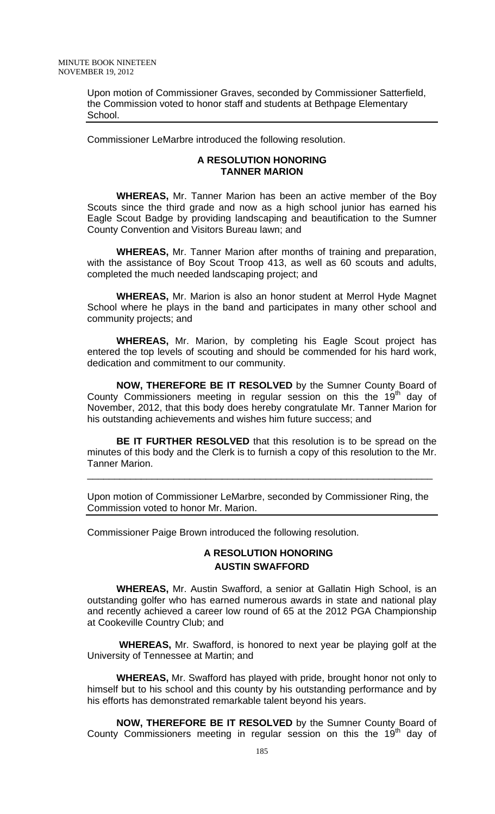Upon motion of Commissioner Graves, seconded by Commissioner Satterfield, the Commission voted to honor staff and students at Bethpage Elementary School.

Commissioner LeMarbre introduced the following resolution.

## **A RESOLUTION HONORING TANNER MARION**

**WHEREAS,** Mr. Tanner Marion has been an active member of the Boy Scouts since the third grade and now as a high school junior has earned his Eagle Scout Badge by providing landscaping and beautification to the Sumner County Convention and Visitors Bureau lawn; and

**WHEREAS,** Mr. Tanner Marion after months of training and preparation, with the assistance of Boy Scout Troop 413, as well as 60 scouts and adults, completed the much needed landscaping project; and

**WHEREAS,** Mr. Marion is also an honor student at Merrol Hyde Magnet School where he plays in the band and participates in many other school and community projects; and

**WHEREAS,** Mr. Marion, by completing his Eagle Scout project has entered the top levels of scouting and should be commended for his hard work, dedication and commitment to our community.

**NOW, THEREFORE BE IT RESOLVED** by the Sumner County Board of County Commissioners meeting in regular session on this the  $19<sup>th</sup>$  day of November, 2012, that this body does hereby congratulate Mr. Tanner Marion for his outstanding achievements and wishes him future success; and

**BE IT FURTHER RESOLVED** that this resolution is to be spread on the minutes of this body and the Clerk is to furnish a copy of this resolution to the Mr. Tanner Marion.

\_\_\_\_\_\_\_\_\_\_\_\_\_\_\_\_\_\_\_\_\_\_\_\_\_\_\_\_\_\_\_\_\_\_\_\_\_\_\_\_\_\_\_\_\_\_\_\_\_\_\_\_\_\_\_\_\_\_\_\_\_\_\_\_

Upon motion of Commissioner LeMarbre, seconded by Commissioner Ring, the Commission voted to honor Mr. Marion.

Commissioner Paige Brown introduced the following resolution.

# **A RESOLUTION HONORING AUSTIN SWAFFORD**

 **WHEREAS,** Mr. Austin Swafford, a senior at Gallatin High School, is an outstanding golfer who has earned numerous awards in state and national play and recently achieved a career low round of 65 at the 2012 PGA Championship at Cookeville Country Club; and

 **WHEREAS,** Mr. Swafford, is honored to next year be playing golf at the University of Tennessee at Martin; and

**WHEREAS,** Mr. Swafford has played with pride, brought honor not only to himself but to his school and this county by his outstanding performance and by his efforts has demonstrated remarkable talent beyond his years.

**NOW, THEREFORE BE IT RESOLVED** by the Sumner County Board of County Commissioners meeting in regular session on this the  $19<sup>th</sup>$  day of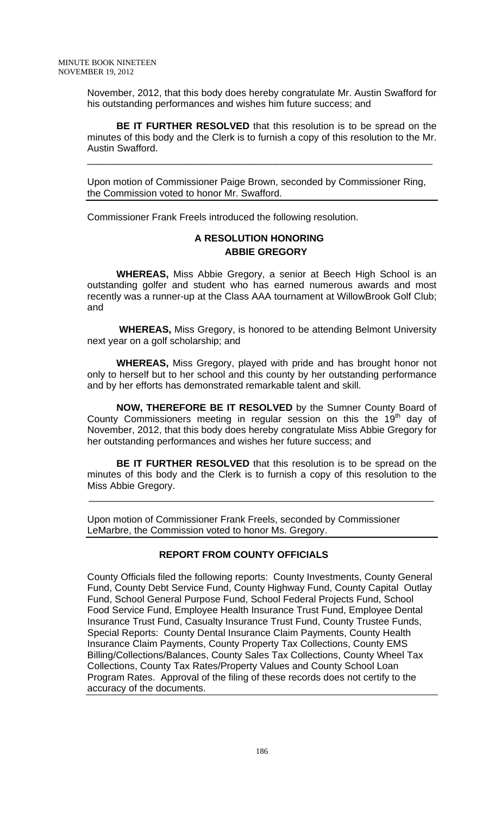November, 2012, that this body does hereby congratulate Mr. Austin Swafford for his outstanding performances and wishes him future success; and

**BE IT FURTHER RESOLVED** that this resolution is to be spread on the minutes of this body and the Clerk is to furnish a copy of this resolution to the Mr. Austin Swafford.

\_\_\_\_\_\_\_\_\_\_\_\_\_\_\_\_\_\_\_\_\_\_\_\_\_\_\_\_\_\_\_\_\_\_\_\_\_\_\_\_\_\_\_\_\_\_\_\_\_\_\_\_\_\_\_\_\_\_\_\_\_\_\_\_

Upon motion of Commissioner Paige Brown, seconded by Commissioner Ring, the Commission voted to honor Mr. Swafford.

Commissioner Frank Freels introduced the following resolution.

# **A RESOLUTION HONORING ABBIE GREGORY**

 **WHEREAS,** Miss Abbie Gregory, a senior at Beech High School is an outstanding golfer and student who has earned numerous awards and most recently was a runner-up at the Class AAA tournament at WillowBrook Golf Club; and

 **WHEREAS,** Miss Gregory, is honored to be attending Belmont University next year on a golf scholarship; and

**WHEREAS,** Miss Gregory, played with pride and has brought honor not only to herself but to her school and this county by her outstanding performance and by her efforts has demonstrated remarkable talent and skill.

**NOW, THEREFORE BE IT RESOLVED** by the Sumner County Board of County Commissioners meeting in regular session on this the  $19<sup>th</sup>$  day of November, 2012, that this body does hereby congratulate Miss Abbie Gregory for her outstanding performances and wishes her future success; and

**BE IT FURTHER RESOLVED** that this resolution is to be spread on the minutes of this body and the Clerk is to furnish a copy of this resolution to the Miss Abbie Gregory.

Upon motion of Commissioner Frank Freels, seconded by Commissioner LeMarbre, the Commission voted to honor Ms. Gregory.

\_\_\_\_\_\_\_\_\_\_\_\_\_\_\_\_\_\_\_\_\_\_\_\_\_\_\_\_\_\_\_\_\_\_\_\_\_\_\_\_\_\_\_\_\_\_\_\_\_\_\_\_\_\_\_\_\_\_\_\_\_\_\_\_

# **REPORT FROM COUNTY OFFICIALS**

County Officials filed the following reports: County Investments, County General Fund, County Debt Service Fund, County Highway Fund, County Capital Outlay Fund, School General Purpose Fund, School Federal Projects Fund, School Food Service Fund, Employee Health Insurance Trust Fund, Employee Dental Insurance Trust Fund, Casualty Insurance Trust Fund, County Trustee Funds, Special Reports: County Dental Insurance Claim Payments, County Health Insurance Claim Payments, County Property Tax Collections, County EMS Billing/Collections/Balances, County Sales Tax Collections, County Wheel Tax Collections, County Tax Rates/Property Values and County School Loan Program Rates. Approval of the filing of these records does not certify to the accuracy of the documents.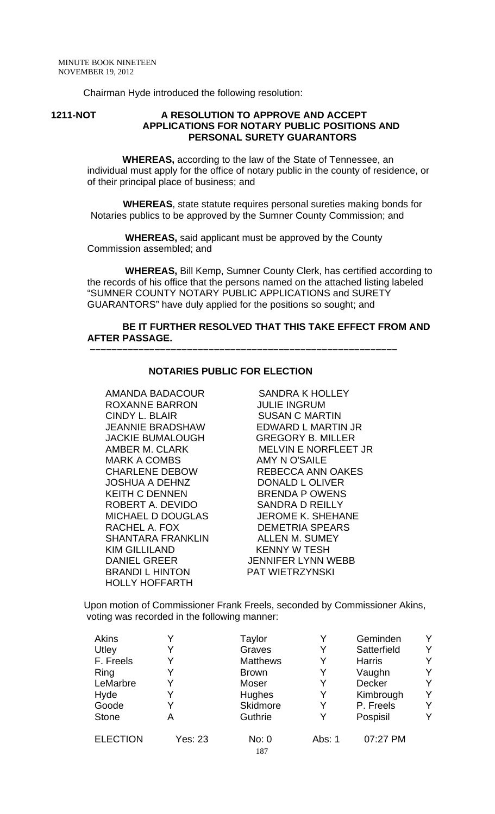Chairman Hyde introduced the following resolution:

#### **1211-NOT A RESOLUTION TO APPROVE AND ACCEPT APPLICATIONS FOR NOTARY PUBLIC POSITIONS AND PERSONAL SURETY GUARANTORS**

 **WHEREAS,** according to the law of the State of Tennessee, an individual must apply for the office of notary public in the county of residence, or of their principal place of business; and

 **WHEREAS**, state statute requires personal sureties making bonds for Notaries publics to be approved by the Sumner County Commission; and

 **WHEREAS,** said applicant must be approved by the County Commission assembled; and

 **WHEREAS,** Bill Kemp, Sumner County Clerk, has certified according to the records of his office that the persons named on the attached listing labeled "SUMNER COUNTY NOTARY PUBLIC APPLICATIONS and SURETY GUARANTORS" have duly applied for the positions so sought; and

# **BE IT FURTHER RESOLVED THAT THIS TAKE EFFECT FROM AND AFTER PASSAGE.**

#### **NOTARIES PUBLIC FOR ELECTION**

 **–––––––––––––––––––––––––––––––––––––––––––––––––––––––––**

AMANDA BADACOUR SANDRA K HOLLEY ROXANNE BARRON JULIE INGRUM CINDY L. BLAIR SUSAN C MARTIN JACKIE BUMALOUGH GREGORY B. MILLER MARK A COMBS AMY N O'SAILE JOSHUA A DEHNZ DONALD L OLIVER KEITH C DENNEN BRENDA P OWENS MICHAEL D DOUGLAS RACHEL A. FOX DEMETRIA SPEARS SHANTARA FRANKLIN ALLEN M. SUMEY KIM GILLILAND KENNY W TESH DANIEL GREER JENNIFER LYNN WEBB BRANDI L HINTON PAT WIETRZYNSKI HOLLY HOFFARTH

JEANNIE BRADSHAW EDWARD L MARTIN JR AMBER M. CLARK MELVIN E NORFLEET JR CHARLENE DEBOW REBECCA ANN OAKES ROBERT A. DEVIDO SANDRA D REILLY

Upon motion of Commissioner Frank Freels, seconded by Commissioner Akins, voting was recorded in the following manner:

| Akins           |                | Taylor          | Y      | Geminden      | Y |
|-----------------|----------------|-----------------|--------|---------------|---|
| Utley           |                | Graves          | Y      | Satterfield   | Y |
| F. Freels       |                | <b>Matthews</b> | Y      | <b>Harris</b> | Y |
| Ring            |                | <b>Brown</b>    | Y      | Vaughn        | Y |
| LeMarbre        |                | Moser           | Y      | <b>Decker</b> | Y |
| Hyde            |                | Hughes          | Y      | Kimbrough     | Y |
| Goode           |                | <b>Skidmore</b> | Y      | P. Freels     | Y |
| <b>Stone</b>    | А              | Guthrie         | Y      | Pospisil      | Y |
| <b>ELECTION</b> | <b>Yes: 23</b> | No: 0<br>187    | Abs: 1 | 07:27 PM      |   |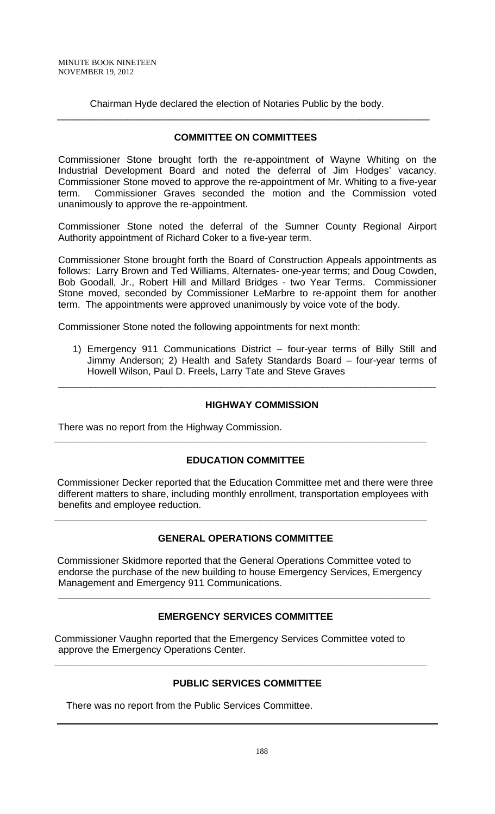Chairman Hyde declared the election of Notaries Public by the body.

## **COMMITTEE ON COMMITTEES**

\_\_\_\_\_\_\_\_\_\_\_\_\_\_\_\_\_\_\_\_\_\_\_\_\_\_\_\_\_\_\_\_\_\_\_\_\_\_\_\_\_\_\_\_\_\_\_\_\_\_\_\_\_\_\_\_\_\_\_\_\_\_\_\_\_\_\_\_\_

Commissioner Stone brought forth the re-appointment of Wayne Whiting on the Industrial Development Board and noted the deferral of Jim Hodges' vacancy. Commissioner Stone moved to approve the re-appointment of Mr. Whiting to a five-year term. Commissioner Graves seconded the motion and the Commission voted unanimously to approve the re-appointment.

Commissioner Stone noted the deferral of the Sumner County Regional Airport Authority appointment of Richard Coker to a five-year term.

Commissioner Stone brought forth the Board of Construction Appeals appointments as follows: Larry Brown and Ted Williams, Alternates- one-year terms; and Doug Cowden, Bob Goodall, Jr., Robert Hill and Millard Bridges - two Year Terms. Commissioner Stone moved, seconded by Commissioner LeMarbre to re-appoint them for another term. The appointments were approved unanimously by voice vote of the body.

Commissioner Stone noted the following appointments for next month:

1) Emergency 911 Communications District – four-year terms of Billy Still and Jimmy Anderson; 2) Health and Safety Standards Board – four-year terms of Howell Wilson, Paul D. Freels, Larry Tate and Steve Graves

\_\_\_\_\_\_\_\_\_\_\_\_\_\_\_\_\_\_\_\_\_\_\_\_\_\_\_\_\_\_\_\_\_\_\_\_\_\_\_\_\_\_\_\_\_\_\_\_\_\_\_\_\_\_\_\_\_\_\_\_\_\_\_\_\_\_\_\_\_\_

## **HIGHWAY COMMISSION**

There was no report from the Highway Commission.

# **EDUCATION COMMITTEE**

**\_\_\_\_\_\_\_\_\_\_\_\_\_\_\_\_\_\_\_\_\_\_\_\_\_\_\_\_\_\_\_\_\_\_\_\_\_\_\_\_\_\_\_\_\_\_\_\_\_\_\_\_\_\_\_\_\_\_\_\_\_\_\_\_\_\_\_\_\_** 

 Commissioner Decker reported that the Education Committee met and there were three different matters to share, including monthly enrollment, transportation employees with benefits and employee reduction.

**\_\_\_\_\_\_\_\_\_\_\_\_\_\_\_\_\_\_\_\_\_\_\_\_\_\_\_\_\_\_\_\_\_\_\_\_\_\_\_\_\_\_\_\_\_\_\_\_\_\_\_\_\_\_\_\_\_\_\_\_\_\_\_\_\_\_\_\_\_** 

# **GENERAL OPERATIONS COMMITTEE**

 Commissioner Skidmore reported that the General Operations Committee voted to endorse the purchase of the new building to house Emergency Services, Emergency Management and Emergency 911 Communications.

# **EMERGENCY SERVICES COMMITTEE**

**\_\_\_\_\_\_\_\_\_\_\_\_\_\_\_\_\_\_\_\_\_\_\_\_\_\_\_\_\_\_\_\_\_\_\_\_\_\_\_\_\_\_\_\_\_\_\_\_\_\_\_\_\_\_\_\_\_\_\_\_\_\_\_\_\_\_\_\_\_** 

Commissioner Vaughn reported that the Emergency Services Committee voted to approve the Emergency Operations Center.

## **PUBLIC SERVICES COMMITTEE**

**\_\_\_\_\_\_\_\_\_\_\_\_\_\_\_\_\_\_\_\_\_\_\_\_\_\_\_\_\_\_\_\_\_\_\_\_\_\_\_\_\_\_\_\_\_\_\_\_\_\_\_\_\_\_\_\_\_\_\_\_\_\_\_\_\_\_\_\_\_** 

There was no report from the Public Services Committee.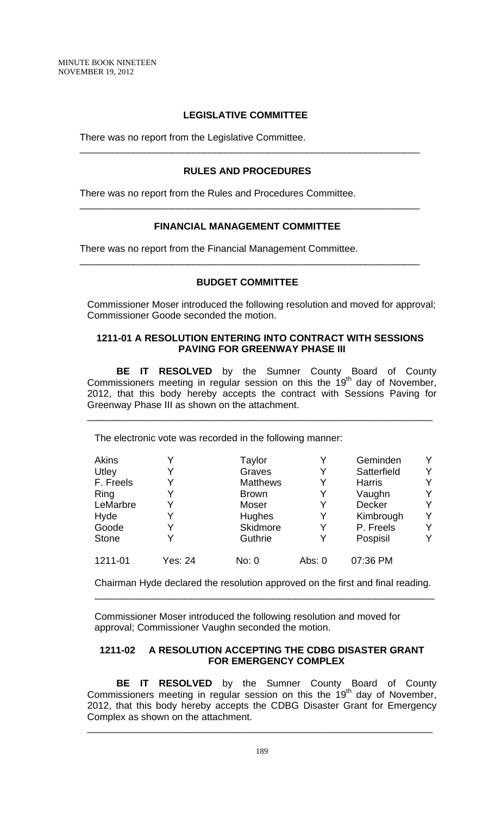# **LEGISLATIVE COMMITTEE**

There was no report from the Legislative Committee.

## **RULES AND PROCEDURES**

\_\_\_\_\_\_\_\_\_\_\_\_\_\_\_\_\_\_\_\_\_\_\_\_\_\_\_\_\_\_\_\_\_\_\_\_\_\_\_\_\_\_\_\_\_\_\_\_\_\_\_\_\_\_\_\_\_\_\_\_\_\_\_

 $\frac{1}{\sqrt{2}}$  ,  $\frac{1}{\sqrt{2}}$  ,  $\frac{1}{\sqrt{2}}$  ,  $\frac{1}{\sqrt{2}}$  ,  $\frac{1}{\sqrt{2}}$  ,  $\frac{1}{\sqrt{2}}$  ,  $\frac{1}{\sqrt{2}}$  ,  $\frac{1}{\sqrt{2}}$  ,  $\frac{1}{\sqrt{2}}$  ,  $\frac{1}{\sqrt{2}}$  ,  $\frac{1}{\sqrt{2}}$  ,  $\frac{1}{\sqrt{2}}$  ,  $\frac{1}{\sqrt{2}}$  ,  $\frac{1}{\sqrt{2}}$  ,  $\frac{1}{\sqrt{2}}$ 

 $\frac{1}{\sqrt{2}}$  ,  $\frac{1}{\sqrt{2}}$  ,  $\frac{1}{\sqrt{2}}$  ,  $\frac{1}{\sqrt{2}}$  ,  $\frac{1}{\sqrt{2}}$  ,  $\frac{1}{\sqrt{2}}$  ,  $\frac{1}{\sqrt{2}}$  ,  $\frac{1}{\sqrt{2}}$  ,  $\frac{1}{\sqrt{2}}$  ,  $\frac{1}{\sqrt{2}}$  ,  $\frac{1}{\sqrt{2}}$  ,  $\frac{1}{\sqrt{2}}$  ,  $\frac{1}{\sqrt{2}}$  ,  $\frac{1}{\sqrt{2}}$  ,  $\frac{1}{\sqrt{2}}$ 

There was no report from the Rules and Procedures Committee.

## **FINANCIAL MANAGEMENT COMMITTEE**

There was no report from the Financial Management Committee.

## **BUDGET COMMITTEE**

Commissioner Moser introduced the following resolution and moved for approval; Commissioner Goode seconded the motion.

## **1211-01 A RESOLUTION ENTERING INTO CONTRACT WITH SESSIONS PAVING FOR GREENWAY PHASE III**

**BE IT RESOLVED** by the Sumner County Board of County Commissioners meeting in regular session on this the 19<sup>th</sup> day of November, 2012, that this body hereby accepts the contract with Sessions Paving for Greenway Phase III as shown on the attachment.

\_\_\_\_\_\_\_\_\_\_\_\_\_\_\_\_\_\_\_\_\_\_\_\_\_\_\_\_\_\_\_\_\_\_\_\_\_\_\_\_\_\_\_\_\_\_\_\_\_\_\_\_\_\_\_\_\_\_\_\_\_\_\_\_

The electronic vote was recorded in the following manner:

| Akins        |         | Taylor          |        | Geminden      | Y |
|--------------|---------|-----------------|--------|---------------|---|
| Utley        |         | Graves          | Y      | Satterfield   | Y |
| F. Freels    | Y       | <b>Matthews</b> | Y      | <b>Harris</b> | Y |
| Ring         |         | <b>Brown</b>    | Y      | Vaughn        | Y |
| LeMarbre     | Υ       | Moser           | Y      | <b>Decker</b> | Y |
| Hyde         |         | Hughes          | Y      | Kimbrough     | Y |
| Goode        |         | <b>Skidmore</b> | Y      | P. Freels     | Y |
| <b>Stone</b> | v       | Guthrie         | Y      | Pospisil      | Y |
| 1211-01      | Yes: 24 | No: 0           | Abs: 0 | 07:36 PM      |   |

Chairman Hyde declared the resolution approved on the first and final reading. \_\_\_\_\_\_\_\_\_\_\_\_\_\_\_\_\_\_\_\_\_\_\_\_\_\_\_\_\_\_\_\_\_\_\_\_\_\_\_\_\_\_\_\_\_\_\_\_\_\_\_\_\_\_\_\_\_\_\_\_\_\_\_

Commissioner Moser introduced the following resolution and moved for approval; Commissioner Vaughn seconded the motion.

## **1211-02 A RESOLUTION ACCEPTING THE CDBG DISASTER GRANT FOR EMERGENCY COMPLEX**

**BE IT RESOLVED** by the Sumner County Board of County Commissioners meeting in regular session on this the  $19<sup>th</sup>$  day of November, 2012, that this body hereby accepts the CDBG Disaster Grant for Emergency Complex as shown on the attachment.

\_\_\_\_\_\_\_\_\_\_\_\_\_\_\_\_\_\_\_\_\_\_\_\_\_\_\_\_\_\_\_\_\_\_\_\_\_\_\_\_\_\_\_\_\_\_\_\_\_\_\_\_\_\_\_\_\_\_\_\_\_\_\_\_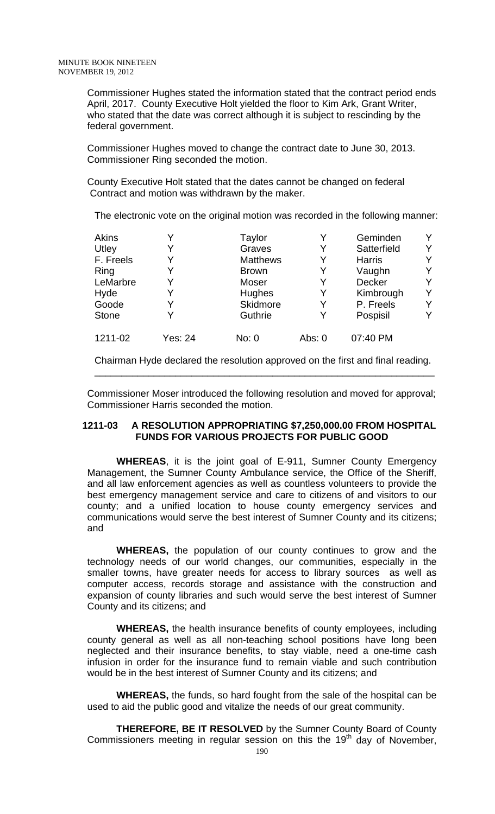Commissioner Hughes stated the information stated that the contract period ends April, 2017. County Executive Holt yielded the floor to Kim Ark, Grant Writer, who stated that the date was correct although it is subject to rescinding by the federal government.

Commissioner Hughes moved to change the contract date to June 30, 2013. Commissioner Ring seconded the motion.

County Executive Holt stated that the dates cannot be changed on federal Contract and motion was withdrawn by the maker.

The electronic vote on the original motion was recorded in the following manner:

| <b>Akins</b> |         | Taylor          | Y        | Geminden      | Y. |
|--------------|---------|-----------------|----------|---------------|----|
| Utley        | Y       | Graves          | Y        | Satterfield   | Υ  |
| F. Freels    | Y       | <b>Matthews</b> | Y        | <b>Harris</b> | Y  |
| Ring         |         | <b>Brown</b>    | Y        | Vaughn        | Y  |
| LeMarbre     | Y       | Moser           | Y        | Decker        | Y  |
| Hyde         |         | Hughes          | Y        | Kimbrough     | Y  |
| Goode        | Y       | Skidmore        | Y        | P. Freels     | Y  |
| <b>Stone</b> | Υ       | Guthrie         | Y        | Pospisil      | Y  |
| 1211-02      | Yes: 24 | No: 0           | Abs: $0$ | 07:40 PM      |    |

Chairman Hyde declared the resolution approved on the first and final reading. \_\_\_\_\_\_\_\_\_\_\_\_\_\_\_\_\_\_\_\_\_\_\_\_\_\_\_\_\_\_\_\_\_\_\_\_\_\_\_\_\_\_\_\_\_\_\_\_\_\_\_\_\_\_\_\_\_\_\_\_\_\_\_

Commissioner Moser introduced the following resolution and moved for approval; Commissioner Harris seconded the motion.

## **1211-03 A RESOLUTION APPROPRIATING \$7,250,000.00 FROM HOSPITAL FUNDS FOR VARIOUS PROJECTS FOR PUBLIC GOOD**

**WHEREAS**, it is the joint goal of E-911, Sumner County Emergency Management, the Sumner County Ambulance service, the Office of the Sheriff, and all law enforcement agencies as well as countless volunteers to provide the best emergency management service and care to citizens of and visitors to our county; and a unified location to house county emergency services and communications would serve the best interest of Sumner County and its citizens; and

**WHEREAS,** the population of our county continues to grow and the technology needs of our world changes, our communities, especially in the smaller towns, have greater needs for access to library sources as well as computer access, records storage and assistance with the construction and expansion of county libraries and such would serve the best interest of Sumner County and its citizens; and

**WHEREAS,** the health insurance benefits of county employees, including county general as well as all non-teaching school positions have long been neglected and their insurance benefits, to stay viable, need a one-time cash infusion in order for the insurance fund to remain viable and such contribution would be in the best interest of Sumner County and its citizens; and

**WHEREAS,** the funds, so hard fought from the sale of the hospital can be used to aid the public good and vitalize the needs of our great community.

**THEREFORE, BE IT RESOLVED** by the Sumner County Board of County Commissioners meeting in regular session on this the  $19<sup>th</sup>$  day of November,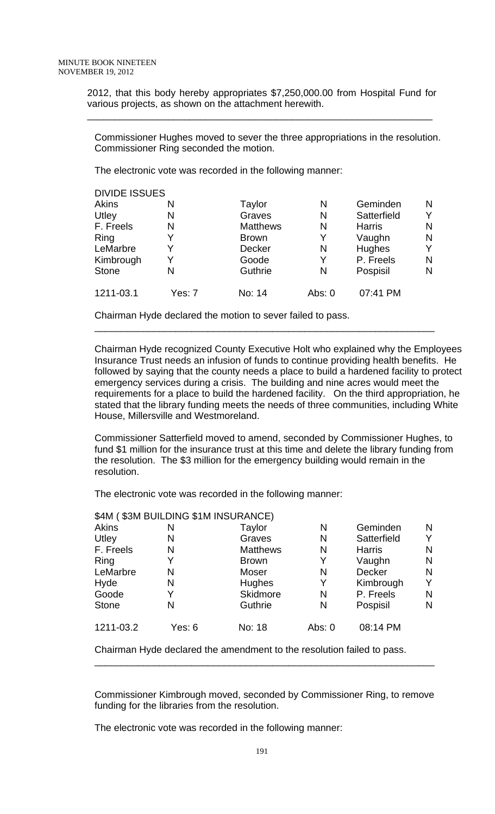2012, that this body hereby appropriates \$7,250,000.00 from Hospital Fund for various projects, as shown on the attachment herewith.

\_\_\_\_\_\_\_\_\_\_\_\_\_\_\_\_\_\_\_\_\_\_\_\_\_\_\_\_\_\_\_\_\_\_\_\_\_\_\_\_\_\_\_\_\_\_\_\_\_\_\_\_\_\_\_\_\_\_\_\_\_\_\_\_

Commissioner Hughes moved to sever the three appropriations in the resolution. Commissioner Ring seconded the motion.

The electronic vote was recorded in the following manner:

| <b>DIVIDE ISSUES</b> |        |                 |        |               |   |
|----------------------|--------|-----------------|--------|---------------|---|
| Akins                | N      | Taylor          | N      | Geminden      | N |
| Utley                | N      | Graves          | N      | Satterfield   | v |
| F. Freels            | N      | <b>Matthews</b> | N      | <b>Harris</b> | N |
| Ring                 | Y      | <b>Brown</b>    | Y      | Vaughn        | N |
| LeMarbre             | Y      | <b>Decker</b>   | N      | Hughes        | v |
| Kimbrough            | Y      | Goode           | Y      | P. Freels     | N |
| <b>Stone</b>         | N      | Guthrie         | N      | Pospisil      | N |
| 1211-03.1            | Yes: 7 | No: 14          | Abs: 0 | 07:41 PM      |   |

\_\_\_\_\_\_\_\_\_\_\_\_\_\_\_\_\_\_\_\_\_\_\_\_\_\_\_\_\_\_\_\_\_\_\_\_\_\_\_\_\_\_\_\_\_\_\_\_\_\_\_\_\_\_\_\_\_\_\_\_\_\_\_

Chairman Hyde declared the motion to sever failed to pass.

Chairman Hyde recognized County Executive Holt who explained why the Employees Insurance Trust needs an infusion of funds to continue providing health benefits. He followed by saying that the county needs a place to build a hardened facility to protect emergency services during a crisis. The building and nine acres would meet the requirements for a place to build the hardened facility. On the third appropriation, he stated that the library funding meets the needs of three communities, including White House, Millersville and Westmoreland.

Commissioner Satterfield moved to amend, seconded by Commissioner Hughes, to fund \$1 million for the insurance trust at this time and delete the library funding from the resolution. The \$3 million for the emergency building would remain in the resolution.

The electronic vote was recorded in the following manner:

|              | \$4M (\$3M BUILDING \$1M INSURANCE) |                 |          |               |   |
|--------------|-------------------------------------|-----------------|----------|---------------|---|
| <b>Akins</b> | N                                   | Taylor          | N        | Geminden      | N |
| Utley        | N                                   | Graves          | N        | Satterfield   | Y |
| F. Freels    | N                                   | <b>Matthews</b> | N        | <b>Harris</b> | N |
| Ring         | Y                                   | <b>Brown</b>    | Y        | Vaughn        | N |
| LeMarbre     | N                                   | Moser           | N        | <b>Decker</b> | N |
| Hyde         | N                                   | <b>Hughes</b>   | Y        | Kimbrough     | Y |
| Goode        | Y                                   | <b>Skidmore</b> | N        | P. Freels     | N |
| <b>Stone</b> | N                                   | <b>Guthrie</b>  | N        | Pospisil      | N |
| 1211-03.2    | Yes: 6                              | No: 18          | Abs: $0$ | 08:14 PM      |   |

Chairman Hyde declared the amendment to the resolution failed to pass.

Commissioner Kimbrough moved, seconded by Commissioner Ring, to remove funding for the libraries from the resolution.

\_\_\_\_\_\_\_\_\_\_\_\_\_\_\_\_\_\_\_\_\_\_\_\_\_\_\_\_\_\_\_\_\_\_\_\_\_\_\_\_\_\_\_\_\_\_\_\_\_\_\_\_\_\_\_\_\_\_\_\_\_\_\_

The electronic vote was recorded in the following manner: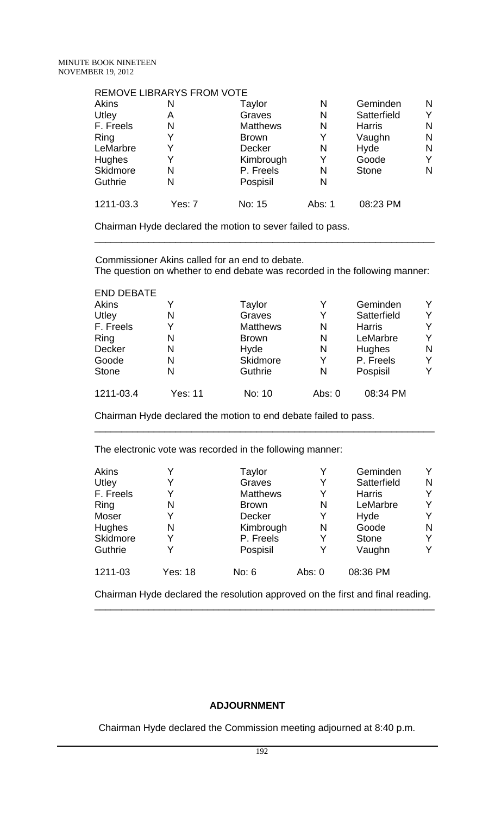## REMOVE LIBRARYS FROM VOTE

| Akins     | N      | Taylor          | N      | Geminden      | N |
|-----------|--------|-----------------|--------|---------------|---|
| Utley     | A      | Graves          | N      | Satterfield   | Y |
| F. Freels | N      | <b>Matthews</b> | N      | <b>Harris</b> | N |
| Ring      | Y      | <b>Brown</b>    | Y      | Vaughn        | N |
| LeMarbre  | Y      | <b>Decker</b>   | N      | Hyde          | N |
| Hughes    | Y      | Kimbrough       | Y      | Goode         | Y |
| Skidmore  | N      | P. Freels       | N      | <b>Stone</b>  | N |
| Guthrie   | N      | Pospisil        | N      |               |   |
| 1211-03.3 | Yes: 7 | No: 15          | Abs: 1 | 08:23 PM      |   |

Chairman Hyde declared the motion to sever failed to pass.

 Commissioner Akins called for an end to debate. The question on whether to end debate was recorded in the following manner:

\_\_\_\_\_\_\_\_\_\_\_\_\_\_\_\_\_\_\_\_\_\_\_\_\_\_\_\_\_\_\_\_\_\_\_\_\_\_\_\_\_\_\_\_\_\_\_\_\_\_\_\_\_\_\_\_\_\_\_\_\_\_\_

| <b>END DEBATE</b> |         |                 |          |               |   |
|-------------------|---------|-----------------|----------|---------------|---|
| Akins             |         | Taylor          | Y        | Geminden      | Y |
| Utley             | N       | Graves          | Y        | Satterfield   | v |
| F. Freels         | Y       | <b>Matthews</b> | N        | <b>Harris</b> |   |
| Ring              | N       | <b>Brown</b>    | N        | LeMarbre      | Y |
| Decker            | N       | Hyde            | N        | Hughes        | N |
| Goode             | N       | Skidmore        | Y        | P. Freels     | Y |
| <b>Stone</b>      | N       | Guthrie         | N        | Pospisil      | v |
| 1211-03.4         | Yes: 11 | No: 10          | Abs: $0$ | 08:34 PM      |   |

\_\_\_\_\_\_\_\_\_\_\_\_\_\_\_\_\_\_\_\_\_\_\_\_\_\_\_\_\_\_\_\_\_\_\_\_\_\_\_\_\_\_\_\_\_\_\_\_\_\_\_\_\_\_\_\_\_\_\_\_\_\_\_

Chairman Hyde declared the motion to end debate failed to pass.

The electronic vote was recorded in the following manner:

| <b>Akins</b> |         | Taylor          | Y        | Geminden      |   |
|--------------|---------|-----------------|----------|---------------|---|
| Utley        |         | Graves          | Y        | Satterfield   | N |
| F. Freels    |         | <b>Matthews</b> | Y        | <b>Harris</b> |   |
| Ring         | N       | <b>Brown</b>    | N        | LeMarbre      | v |
| Moser        | Y       | Decker          | Y        | Hyde          | v |
| Hughes       | N       | Kimbrough       | N        | Goode         | N |
| Skidmore     | Y       | P. Freels       | Y        | <b>Stone</b>  |   |
| Guthrie      | Y       | Pospisil        | Y        | Vaughn        | Y |
| 1211-03      | Yes: 18 | No: 6           | Abs: $0$ | 08:36 PM      |   |

Chairman Hyde declared the resolution approved on the first and final reading. \_\_\_\_\_\_\_\_\_\_\_\_\_\_\_\_\_\_\_\_\_\_\_\_\_\_\_\_\_\_\_\_\_\_\_\_\_\_\_\_\_\_\_\_\_\_\_\_\_\_\_\_\_\_\_\_\_\_\_\_\_\_\_

# **ADJOURNMENT**

Chairman Hyde declared the Commission meeting adjourned at 8:40 p.m.